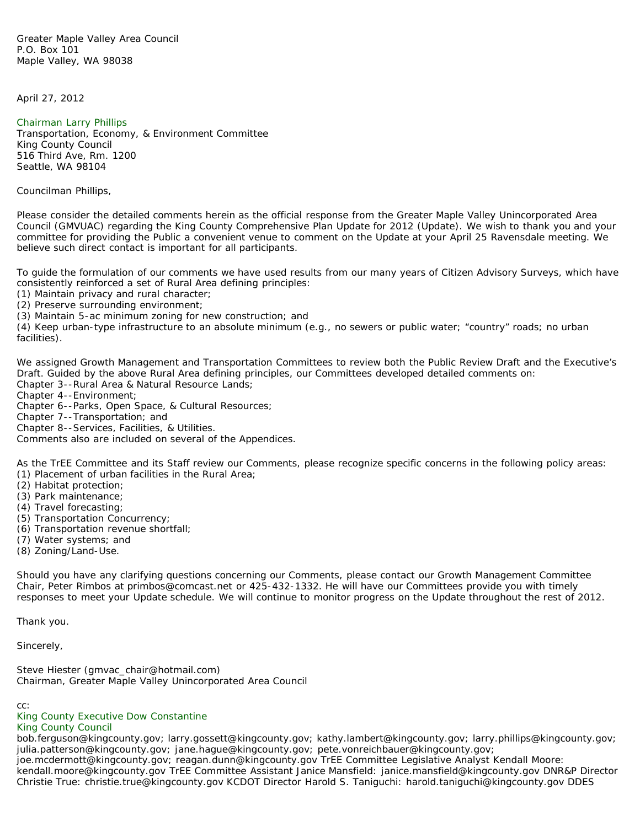Greater Maple Valley Area Council P.O. Box 101 Maple Valley, WA 98038

April 27, 2012

## [Chairman Larry Phillips](mailto:larry.phillips@kingcounty.gov)

Transportation, Economy, & Environment Committee King County Council 516 Third Ave, Rm. 1200 Seattle, WA 98104

Councilman Phillips,

Please consider the detailed comments herein as the official response from the Greater Maple Valley Unincorporated Area Council (GMVUAC) regarding the King County Comprehensive Plan Update for 2012 (Update). We wish to thank you and your committee for providing the Public a convenient venue to comment on the Update at your April 25 Ravensdale meeting. We believe such direct contact is important for all participants.

To guide the formulation of our comments we have used results from our many years of Citizen Advisory Surveys, which have consistently reinforced a set of Rural Area defining principles:

(1) Maintain privacy and rural character;

(2) Preserve surrounding environment;

(3) Maintain 5-ac minimum zoning for new construction; and

(4) Keep urban-type infrastructure to an absolute minimum (e.g., no sewers or public water; "country" roads; no urban facilities).

We assigned Growth Management and Transportation Committees to review both the Public Review Draft and the Executive's Draft. Guided by the above Rural Area defining principles, our Committees developed detailed comments on: Chapter 3--Rural Area & Natural Resource Lands;

Chapter 4--Environment;

Chapter 6--Parks, Open Space, & Cultural Resources;

Chapter 7--Transportation; and

Chapter 8--Services, Facilities, & Utilities.

Comments also are included on several of the Appendices.

As the TrEE Committee and its Staff review our Comments, please recognize specific concerns in the following policy areas: (1) Placement of urban facilities in the Rural Area;

- (2) Habitat protection;
- (3) Park maintenance;
- (4) Travel forecasting;
- (5) Transportation Concurrency;
- (6) Transportation revenue shortfall;
- (7) Water systems; and
- (8) Zoning/Land-Use.

Should you have any clarifying questions concerning our Comments, please contact our Growth Management Committee Chair, Peter Rimbos at primbos@comcast.net or 425-432-1332. He will have our Committees provide you with timely responses to meet your Update schedule. We will continue to monitor progress on the Update throughout the rest of 2012.

Thank you.

Sincerely,

Steve Hiester (gmvac\_chair@hotmail.com) Chairman, Greater Maple Valley Unincorporated Area Council

cc:

## [King County Executive Dow Constantine](mailto:dow.constantine@kingcounty.gov)

## [King County Council](mailto:council@kingcounty.gov)

bob.ferguson@kingcounty.gov; larry.gossett@kingcounty.gov; kathy.lambert@kingcounty.gov; larry.phillips@kingcounty.gov; julia.patterson@kingcounty.gov; jane.hague@kingcounty.gov; pete.vonreichbauer@kingcounty.gov; joe.mcdermott@kingcounty.gov; reagan.dunn@kingcounty.gov TrEE Committee Legislative Analyst Kendall Moore: kendall.moore@kingcounty.gov TrEE Committee Assistant Janice Mansfield: janice.mansfield@kingcounty.gov DNR&P Director Christie True: christie.true@kingcounty.gov KCDOT Director Harold S. Taniguchi: harold.taniguchi@kingcounty.gov DDES